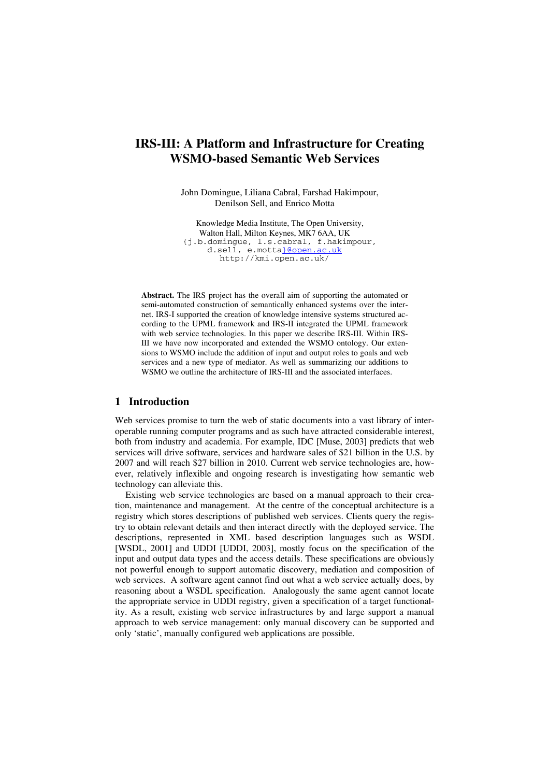# **IRS-III: A Platform and Infrastructure for Creating WSMO-based Semantic Web Services**

John Domingue, Liliana Cabral, Farshad Hakimpour, Denilson Sell, and Enrico Motta

Knowledge Media Institute, The Open University, Walton Hall, Milton Keynes, MK7 6AA, UK {j.b.domingue, l.s.cabral, f.hakimpour, d.sell, e.motta}@open.ac.uk http://kmi.open.ac.uk/

**Abstract.** The IRS project has the overall aim of supporting the automated or semi-automated construction of semantically enhanced systems over the internet. IRS-I supported the creation of knowledge intensive systems structured according to the UPML framework and IRS-II integrated the UPML framework with web service technologies. In this paper we describe IRS-III. Within IRS-III we have now incorporated and extended the WSMO ontology. Our extensions to WSMO include the addition of input and output roles to goals and web services and a new type of mediator. As well as summarizing our additions to WSMO we outline the architecture of IRS-III and the associated interfaces.

# **1 Introduction**

Web services promise to turn the web of static documents into a vast library of interoperable running computer programs and as such have attracted considerable interest, both from industry and academia. For example, IDC [Muse, 2003] predicts that web services will drive software, services and hardware sales of \$21 billion in the U.S. by 2007 and will reach \$27 billion in 2010. Current web service technologies are, however, relatively inflexible and ongoing research is investigating how semantic web technology can alleviate this.

Existing web service technologies are based on a manual approach to their creation, maintenance and management. At the centre of the conceptual architecture is a registry which stores descriptions of published web services. Clients query the registry to obtain relevant details and then interact directly with the deployed service. The descriptions, represented in XML based description languages such as WSDL [WSDL, 2001] and UDDI [UDDI, 2003], mostly focus on the specification of the input and output data types and the access details. These specifications are obviously not powerful enough to support automatic discovery, mediation and composition of web services. A software agent cannot find out what a web service actually does, by reasoning about a WSDL specification. Analogously the same agent cannot locate the appropriate service in UDDI registry, given a specification of a target functionality. As a result, existing web service infrastructures by and large support a manual approach to web service management: only manual discovery can be supported and only 'static', manually configured web applications are possible.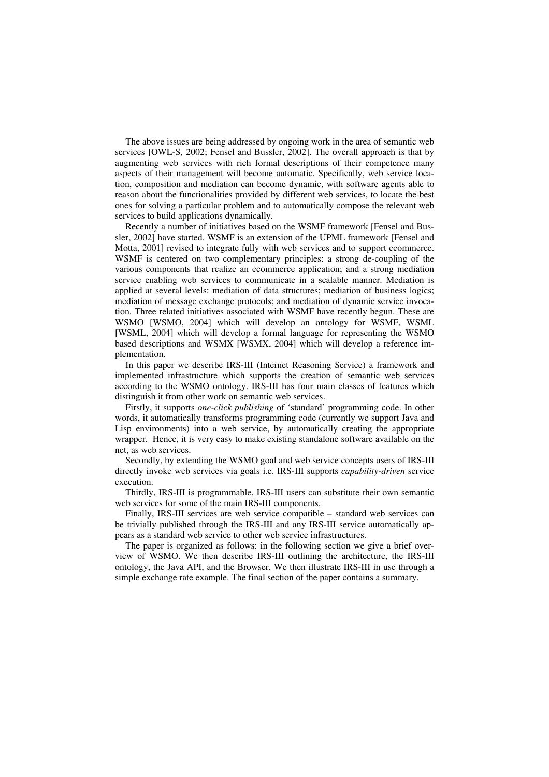The above issues are being addressed by ongoing work in the area of semantic web services [OWL-S, 2002; Fensel and Bussler, 2002]. The overall approach is that by augmenting web services with rich formal descriptions of their competence many aspects of their management will become automatic. Specifically, web service location, composition and mediation can become dynamic, with software agents able to reason about the functionalities provided by different web services, to locate the best ones for solving a particular problem and to automatically compose the relevant web services to build applications dynamically.

Recently a number of initiatives based on the WSMF framework [Fensel and Bussler, 2002] have started. WSMF is an extension of the UPML framework [Fensel and Motta, 2001] revised to integrate fully with web services and to support ecommerce. WSMF is centered on two complementary principles: a strong de-coupling of the various components that realize an ecommerce application; and a strong mediation service enabling web services to communicate in a scalable manner. Mediation is applied at several levels: mediation of data structures; mediation of business logics; mediation of message exchange protocols; and mediation of dynamic service invocation. Three related initiatives associated with WSMF have recently begun. These are WSMO [WSMO, 2004] which will develop an ontology for WSMF, WSML [WSML, 2004] which will develop a formal language for representing the WSMO based descriptions and WSMX [WSMX, 2004] which will develop a reference implementation.

In this paper we describe IRS-III (Internet Reasoning Service) a framework and implemented infrastructure which supports the creation of semantic web services according to the WSMO ontology. IRS-III has four main classes of features which distinguish it from other work on semantic web services.

Firstly, it supports *one-click publishing* of 'standard' programming code. In other words, it automatically transforms programming code (currently we support Java and Lisp environments) into a web service, by automatically creating the appropriate wrapper. Hence, it is very easy to make existing standalone software available on the net, as web services.

Secondly, by extending the WSMO goal and web service concepts users of IRS-III directly invoke web services via goals i.e. IRS-III supports *capability-driven* service execution.

Thirdly, IRS-III is programmable. IRS-III users can substitute their own semantic web services for some of the main IRS-III components.

Finally, IRS-III services are web service compatible – standard web services can be trivially published through the IRS-III and any IRS-III service automatically appears as a standard web service to other web service infrastructures.

The paper is organized as follows: in the following section we give a brief overview of WSMO. We then describe IRS-III outlining the architecture, the IRS-III ontology, the Java API, and the Browser. We then illustrate IRS-III in use through a simple exchange rate example. The final section of the paper contains a summary.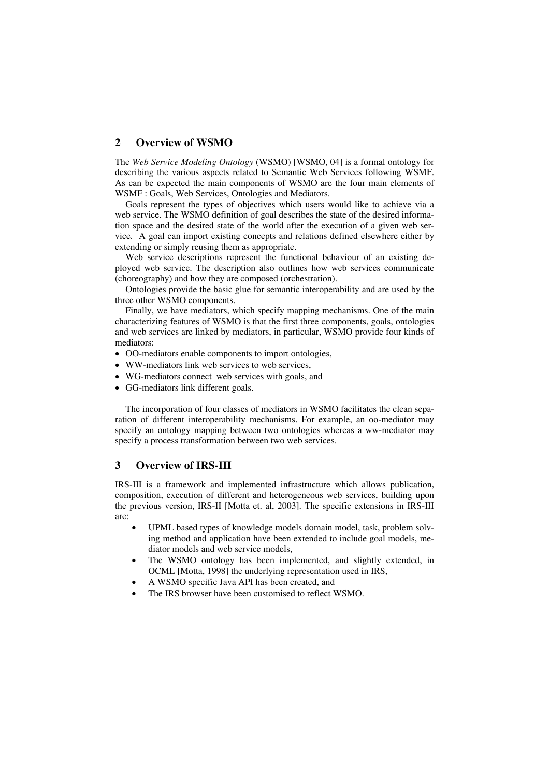# **2 Overview of WSMO**

The *Web Service Modeling Ontology* (WSMO) [WSMO, 04] is a formal ontology for describing the various aspects related to Semantic Web Services following WSMF. As can be expected the main components of WSMO are the four main elements of WSMF : Goals, Web Services, Ontologies and Mediators.

Goals represent the types of objectives which users would like to achieve via a web service. The WSMO definition of goal describes the state of the desired information space and the desired state of the world after the execution of a given web service. A goal can import existing concepts and relations defined elsewhere either by extending or simply reusing them as appropriate.

Web service descriptions represent the functional behaviour of an existing deployed web service. The description also outlines how web services communicate (choreography) and how they are composed (orchestration).

Ontologies provide the basic glue for semantic interoperability and are used by the three other WSMO components.

Finally, we have mediators, which specify mapping mechanisms. One of the main characterizing features of WSMO is that the first three components, goals, ontologies and web services are linked by mediators, in particular, WSMO provide four kinds of mediators:

- OO-mediators enable components to import ontologies,
- WW-mediators link web services to web services,
- WG-mediators connect web services with goals, and
- GG-mediators link different goals.

The incorporation of four classes of mediators in WSMO facilitates the clean separation of different interoperability mechanisms. For example, an oo-mediator may specify an ontology mapping between two ontologies whereas a ww-mediator may specify a process transformation between two web services.

# **3 Overview of IRS-III**

IRS-III is a framework and implemented infrastructure which allows publication, composition, execution of different and heterogeneous web services, building upon the previous version, IRS-II [Motta et. al, 2003]. The specific extensions in IRS-III are:

- UPML based types of knowledge models domain model, task, problem solving method and application have been extended to include goal models, mediator models and web service models,
- The WSMO ontology has been implemented, and slightly extended, in OCML [Motta, 1998] the underlying representation used in IRS,
- A WSMO specific Java API has been created, and
- The IRS browser have been customised to reflect WSMO.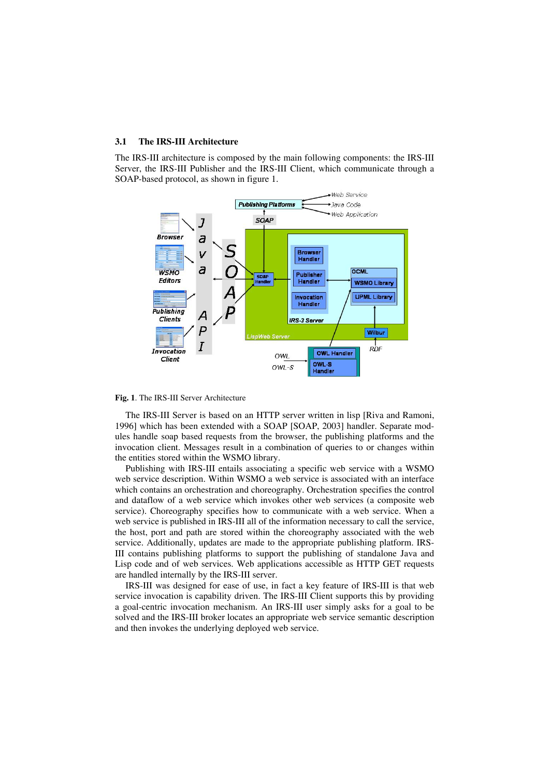### **3.1 The IRS-III Architecture**

The IRS-III architecture is composed by the main following components: the IRS-III Server, the IRS-III Publisher and the IRS-III Client, which communicate through a SOAP-based protocol, as shown in figure 1.



**Fig. 1**. The IRS-III Server Architecture

The IRS-III Server is based on an HTTP server written in lisp [Riva and Ramoni, 1996] which has been extended with a SOAP [SOAP, 2003] handler. Separate modules handle soap based requests from the browser, the publishing platforms and the invocation client. Messages result in a combination of queries to or changes within the entities stored within the WSMO library.

Publishing with IRS-III entails associating a specific web service with a WSMO web service description. Within WSMO a web service is associated with an interface which contains an orchestration and choreography. Orchestration specifies the control and dataflow of a web service which invokes other web services (a composite web service). Choreography specifies how to communicate with a web service. When a web service is published in IRS-III all of the information necessary to call the service, the host, port and path are stored within the choreography associated with the web service. Additionally, updates are made to the appropriate publishing platform. IRS-III contains publishing platforms to support the publishing of standalone Java and Lisp code and of web services. Web applications accessible as HTTP GET requests are handled internally by the IRS-III server.

IRS-III was designed for ease of use, in fact a key feature of IRS-III is that web service invocation is capability driven. The IRS-III Client supports this by providing a goal-centric invocation mechanism. An IRS-III user simply asks for a goal to be solved and the IRS-III broker locates an appropriate web service semantic description and then invokes the underlying deployed web service.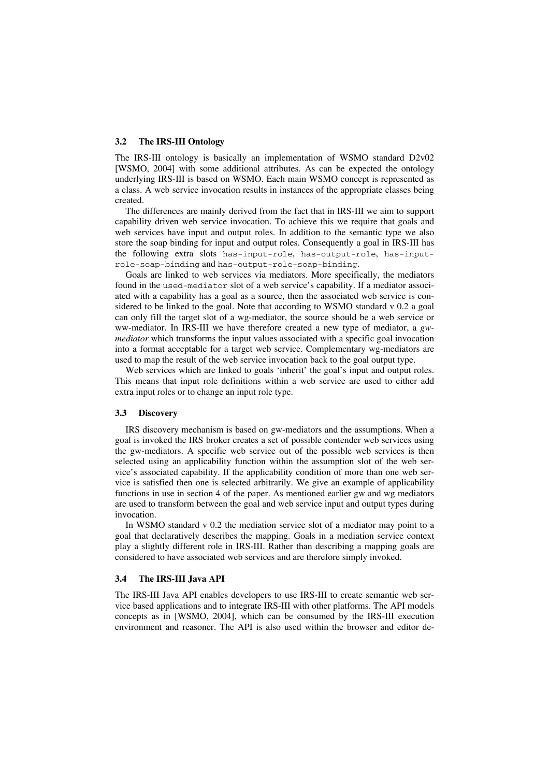### **3.2 The IRS-III Ontology**

The IRS-III ontology is basically an implementation of WSMO standard D2v02 [WSMO, 2004] with some additional attributes. As can be expected the ontology underlying IRS-III is based on WSMO. Each main WSMO concept is represented as a class. A web service invocation results in instances of the appropriate classes being created.

The differences are mainly derived from the fact that in IRS-III we aim to support capability driven web service invocation. To achieve this we require that goals and web services have input and output roles. In addition to the semantic type we also store the soap binding for input and output roles. Consequently a goal in IRS-III has the following extra slots has-input-role, has-output-role, has-inputrole-soap-binding and has-output-role-soap-binding.

Goals are linked to web services via mediators. More specifically, the mediators found in the used-mediator slot of a web service's capability. If a mediator associated with a capability has a goal as a source, then the associated web service is considered to be linked to the goal. Note that according to WSMO standard v 0.2 a goal can only fill the target slot of a wg-mediator, the source should be a web service or ww-mediator. In IRS-III we have therefore created a new type of mediator, a *gwmediator* which transforms the input values associated with a specific goal invocation into a format acceptable for a target web service. Complementary wg-mediators are used to map the result of the web service invocation back to the goal output type.

Web services which are linked to goals 'inherit' the goal's input and output roles. This means that input role definitions within a web service are used to either add extra input roles or to change an input role type.

#### **3.3 Discovery**

IRS discovery mechanism is based on gw-mediators and the assumptions. When a goal is invoked the IRS broker creates a set of possible contender web services using the gw-mediators. A specific web service out of the possible web services is then selected using an applicability function within the assumption slot of the web service's associated capability. If the applicability condition of more than one web service is satisfied then one is selected arbitrarily. We give an example of applicability functions in use in section 4 of the paper. As mentioned earlier gw and wg mediators are used to transform between the goal and web service input and output types during invocation.

In WSMO standard v 0.2 the mediation service slot of a mediator may point to a goal that declaratively describes the mapping. Goals in a mediation service context play a slightly different role in IRS-III. Rather than describing a mapping goals are considered to have associated web services and are therefore simply invoked.

#### **3.4 The IRS-III Java API**

The IRS-III Java API enables developers to use IRS-III to create semantic web service based applications and to integrate IRS-III with other platforms. The API models concepts as in [WSMO, 2004], which can be consumed by the IRS-III execution environment and reasoner. The API is also used within the browser and editor de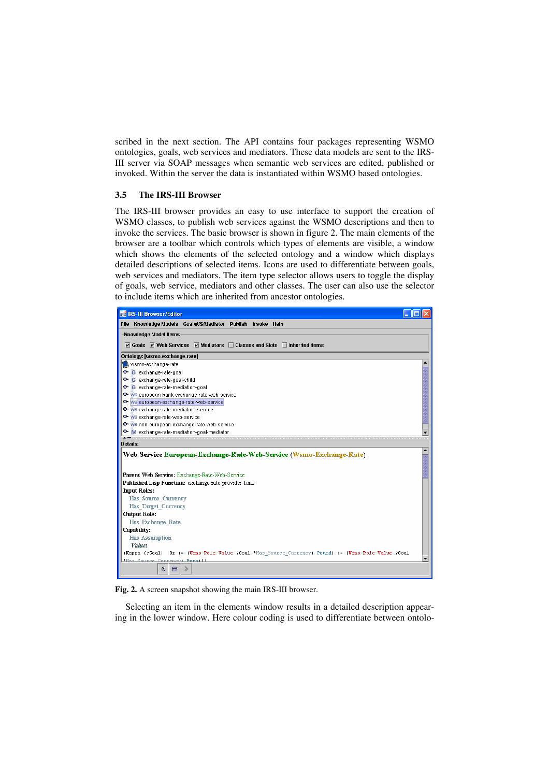scribed in the next section. The API contains four packages representing WSMO ontologies, goals, web services and mediators. These data models are sent to the IRS-III server via SOAP messages when semantic web services are edited, published or invoked. Within the server the data is instantiated within WSMO based ontologies.

### **3.5 The IRS-III Browser**

The IRS-III browser provides an easy to use interface to support the creation of WSMO classes, to publish web services against the WSMO descriptions and then to invoke the services. The basic browser is shown in figure 2. The main elements of the browser are a toolbar which controls which types of elements are visible, a window which shows the elements of the selected ontology and a window which displays detailed descriptions of selected items. Icons are used to differentiate between goals, web services and mediators. The item type selector allows users to toggle the display of goals, web service, mediators and other classes. The user can also use the selector to include items which are inherited from ancestor ontologies.



**Fig. 2.** A screen snapshot showing the main IRS-III browser.

Selecting an item in the elements window results in a detailed description appearing in the lower window. Here colour coding is used to differentiate between ontolo-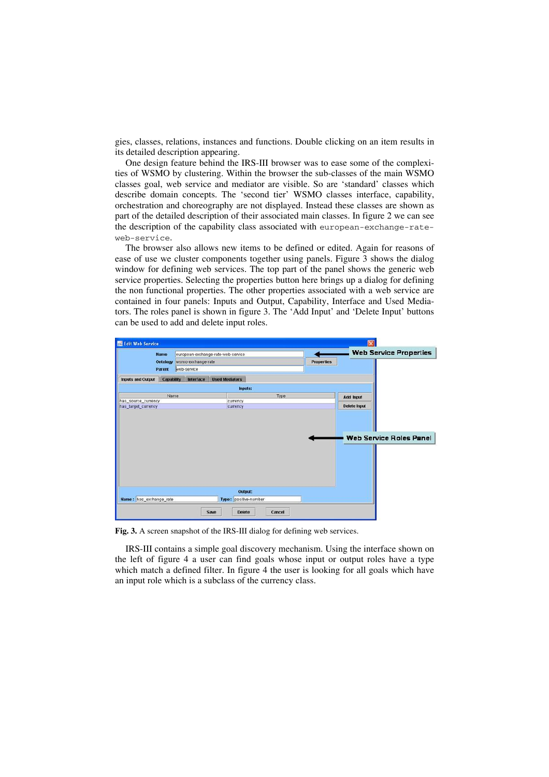gies, classes, relations, instances and functions. Double clicking on an item results in its detailed description appearing.

One design feature behind the IRS-III browser was to ease some of the complexities of WSMO by clustering. Within the browser the sub-classes of the main WSMO classes goal, web service and mediator are visible. So are 'standard' classes which describe domain concepts. The 'second tier' WSMO classes interface, capability, orchestration and choreography are not displayed. Instead these classes are shown as part of the detailed description of their associated main classes. In figure 2 we can see the description of the capability class associated with european-exchange-rateweb-service.

The browser also allows new items to be defined or edited. Again for reasons of ease of use we cluster components together using panels. Figure 3 shows the dialog window for defining web services. The top part of the panel shows the generic web service properties. Selecting the properties button here brings up a dialog for defining the non functional properties. The other properties associated with a web service are contained in four panels: Inputs and Output, Capability, Interface and Used Mediators. The roles panel is shown in figure 3. The 'Add Input' and 'Delete Input' buttons can be used to add and delete input roles.



**Fig. 3.** A screen snapshot of the IRS-III dialog for defining web services.

IRS-III contains a simple goal discovery mechanism. Using the interface shown on the left of figure 4 a user can find goals whose input or output roles have a type which match a defined filter. In figure 4 the user is looking for all goals which have an input role which is a subclass of the currency class.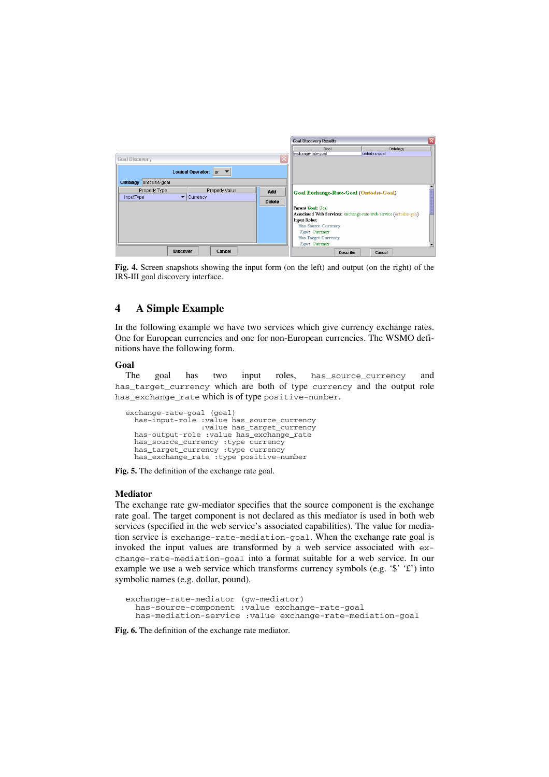

**Fig. 4.** Screen snapshots showing the input form (on the left) and output (on the right) of the IRS-III goal discovery interface.

# **4 A Simple Example**

In the following example we have two services which give currency exchange rates. One for European currencies and one for non-European currencies. The WSMO definitions have the following form.

### **Goal**

The goal has two input roles, has source currency and has target currency which are both of type currency and the output role has\_exchange\_rate which is of type positive-number.

```
exchange-rate-goal (goal) 
 has-input-role :value has_source_currency 
                       :value has_target_currency 
   has-output-role :value has_exchange_rate 
 has_source_currency :type currency 
 has_target_currency :type currency 
   has_exchange_rate :type positive-number
```
**Fig. 5.** The definition of the exchange rate goal.

#### **Mediator**

The exchange rate gw-mediator specifies that the source component is the exchange rate goal. The target component is not declared as this mediator is used in both web services (specified in the web service's associated capabilities). The value for mediation service is exchange-rate-mediation-goal. When the exchange rate goal is invoked the input values are transformed by a web service associated with exchange-rate-mediation-goal into a format suitable for a web service. In our example we use a web service which transforms currency symbols (e.g.  $\mathcal{F}$  ' $\mathcal{F}'$ ) into symbolic names (e.g. dollar, pound).

exchange-rate-mediator (gw-mediator) has-source-component :value exchange-rate-goal has-mediation-service :value exchange-rate-mediation-goal

**Fig. 6.** The definition of the exchange rate mediator.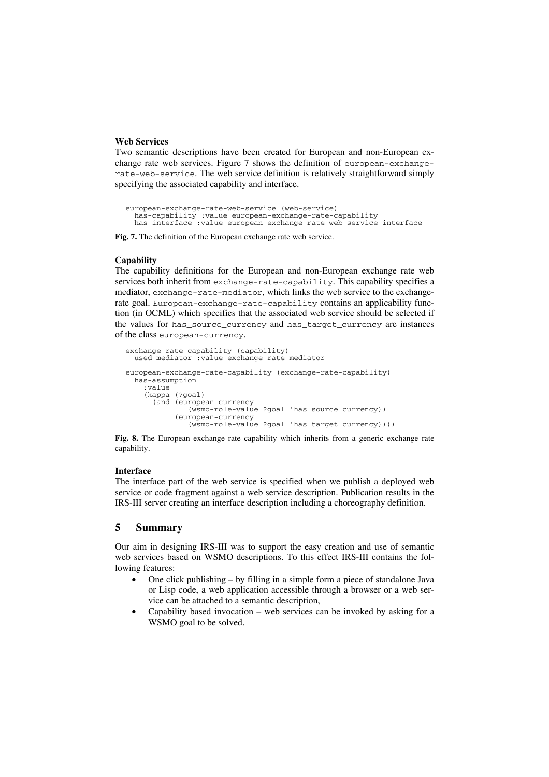### **Web Services**

Two semantic descriptions have been created for European and non-European exchange rate web services. Figure 7 shows the definition of european-exchangerate-web-service. The web service definition is relatively straightforward simply specifying the associated capability and interface.

```
european-exchange-rate-web-service (web-service) 
 has-capability :value european-exchange-rate-capability 
 has-interface :value european-exchange-rate-web-service-interface
```
**Fig. 7.** The definition of the European exchange rate web service.

#### **Capability**

The capability definitions for the European and non-European exchange rate web services both inherit from exchange-rate-capability. This capability specifies a mediator, exchange-rate-mediator, which links the web service to the exchangerate goal. European-exchange-rate-capability contains an applicability function (in OCML) which specifies that the associated web service should be selected if the values for has\_source\_currency and has\_target\_currency are instances of the class european-currency.

```
exchange-rate-capability (capability) 
   used-mediator :value exchange-rate-mediator 
european-exchange-rate-capability (exchange-rate-capability) 
   has-assumption 
     :value 
     (kappa (?goal) 
       (and (european-currency 
                (wsmo-role-value ?goal 'has_source_currency)) 
             (european-currency 
                (wsmo-role-value ?goal 'has_target_currency))))
```
**Fig. 8.** The European exchange rate capability which inherits from a generic exchange rate capability.

### **Interface**

The interface part of the web service is specified when we publish a deployed web service or code fragment against a web service description. Publication results in the IRS-III server creating an interface description including a choreography definition.

# **5 Summary**

Our aim in designing IRS-III was to support the easy creation and use of semantic web services based on WSMO descriptions. To this effect IRS-III contains the following features:

- One click publishing by filling in a simple form a piece of standalone Java or Lisp code, a web application accessible through a browser or a web service can be attached to a semantic description,
- Capability based invocation web services can be invoked by asking for a WSMO goal to be solved.